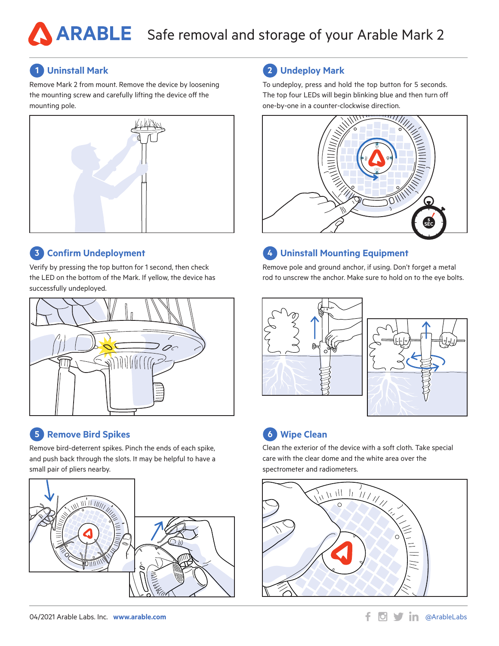# **Uninstall Mark**

Remove Mark 2 from mount. Remove the device by loosening the mounting screw and carefully lifting the device off the mounting pole.



## **Confirm Undeployment**

Verify by pressing the top button for 1 second, then check the LED on the bottom of the Mark. If yellow, the device has successfully undeployed.



# **5 Remove Bird Spikes 19 <b>Clean 19 <b>Clean 19 <b>Clean 19 Clean**

Remove bird-deterrent spikes. Pinch the ends of each spike, and push back through the slots. It may be helpful to have a small pair of pliers nearby.



#### 04/2021 Arable Labs. Inc. **www.arable.com by a structure of the community of the community of the community of the community of the community of the community of the community of the community of the community of the com**

### **1 Uninstall Mark 2 Undeploy Mark**

To undeploy, press and hold the top button for 5 seconds. The top four LEDs will begin blinking blue and then turn off one-by-one in a counter-clockwise direction.



# **3 Uninstall Mounting Equipment 4**

Remove pole and ground anchor, if using. Don't forget a metal rod to unscrew the anchor. Make sure to hold on to the eye bolts.





# **6** Wipe Clean

Clean the exterior of the device with a soft cloth. Take special care with the clear dome and the white area over the spectrometer and radiometers.